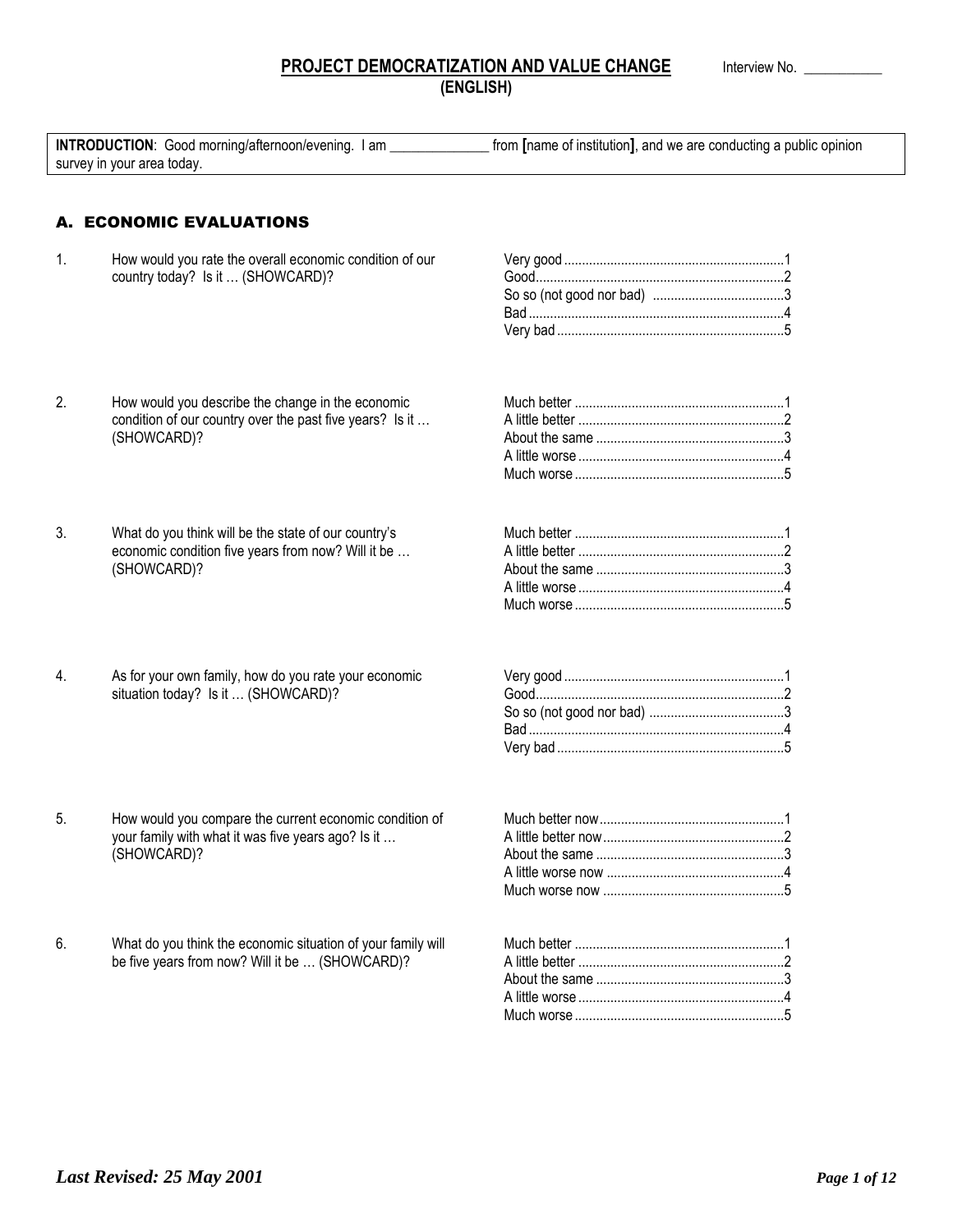# **PROJECT DEMOCRATIZATION AND VALUE CHANGE Interview No. \_\_ (ENGLISH)**

| <b>INTRODUCTION:</b> Good morning/afternoon/evening. I<br>l am | from [name of institution], and we are conducting a public opinion |
|----------------------------------------------------------------|--------------------------------------------------------------------|
| survey in your area today.                                     |                                                                    |

# A. ECONOMIC EVALUATIONS

1. How would you rate the overall economic condition of our country today? Is it … (SHOWCARD)?

- 2. How would you describe the change in the economic condition of our country over the past five years? Is it ... (SHOWCARD)?
- 3. What do you think will be the state of our country's economic condition five years from now? Will it be … (SHOWCARD)?
- 4. As for your own family, how do you rate your economic situation today? Is it … (SHOWCARD)?

5. How would you compare the current economic condition of your family with what it was five years ago? Is it …

6. What do you think the economic situation of your family will be five years from now? Will it be … (SHOWCARD)?

(SHOWCARD)?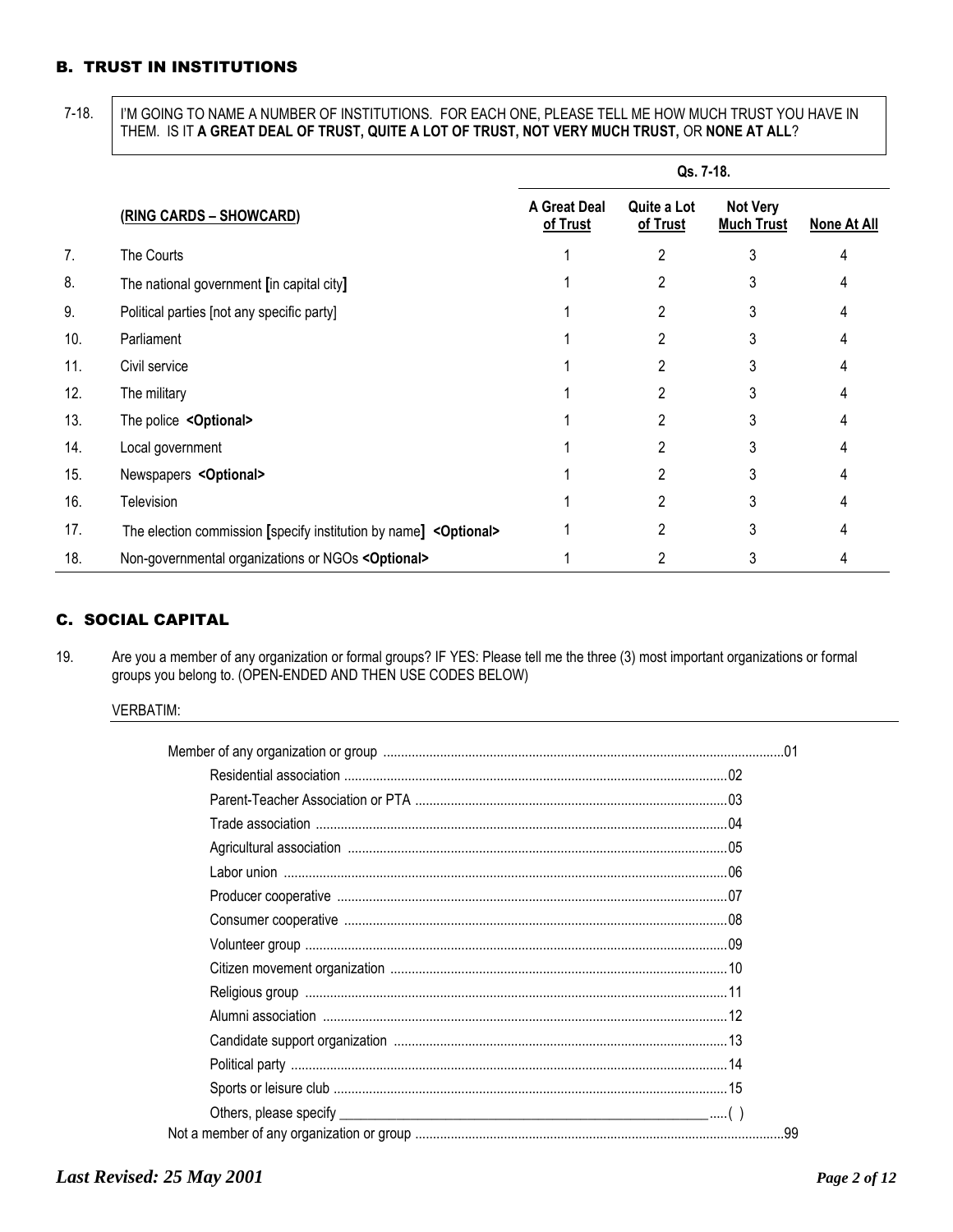# B. TRUST IN INSTITUTIONS

7-18. | I'M GOING TO NAME A NUMBER OF INSTITUTIONS. FOR EACH ONE, PLEASE TELL ME HOW MUCH TRUST YOU HAVE IN THEM. IS IT **A GREAT DEAL OF TRUST, QUITE A LOT OF TRUST, NOT VERY MUCH TRUST,** OR **NONE AT ALL**?

|     |                                                                   | Qs. 7-18.                       |                         |                                      |             |
|-----|-------------------------------------------------------------------|---------------------------------|-------------------------|--------------------------------------|-------------|
|     | (RING CARDS - SHOWCARD)                                           | <b>A Great Deal</b><br>of Trust | Quite a Lot<br>of Trust | <b>Not Very</b><br><b>Much Trust</b> | None At All |
| 7.  | The Courts                                                        |                                 | 2                       | 3                                    |             |
| 8.  | The national government [in capital city]                         |                                 | 2                       | 3                                    |             |
| 9.  | Political parties [not any specific party]                        |                                 |                         | 3                                    |             |
| 10. | Parliament                                                        |                                 | 2                       | 3                                    |             |
| 11. | Civil service                                                     |                                 | 2                       | 3                                    |             |
| 12. | The military                                                      |                                 | 2                       | 3                                    |             |
| 13. | The police < Optional>                                            |                                 | 2                       | 3                                    |             |
| 14. | Local government                                                  |                                 | 2                       | 3                                    |             |
| 15. | Newspapers < Optional>                                            |                                 | 2                       | 3                                    |             |
| 16. | <b>Television</b>                                                 |                                 | 2                       | 3                                    |             |
| 17. | The election commission [specify institution by name] < Optional> |                                 | 2                       | 3                                    |             |
| 18. | Non-governmental organizations or NGOs < Optional>                |                                 | 2                       | 3                                    |             |

# C. SOCIAL CAPITAL

19. Are you a member of any organization or formal groups? IF YES: Please tell me the three (3) most important organizations or formal groups you belong to. (OPEN-ENDED AND THEN USE CODES BELOW)

#### VERBATIM: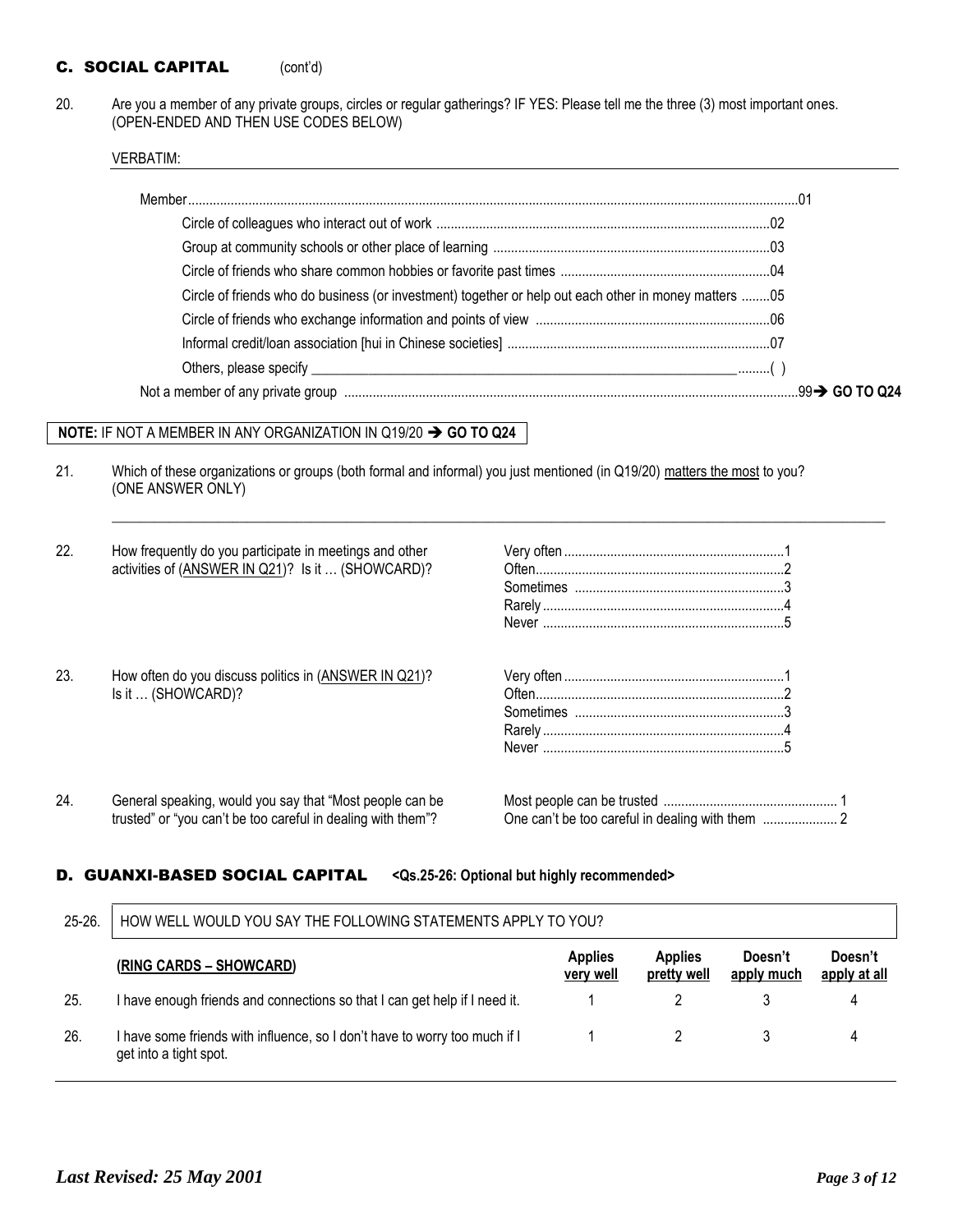# C. SOCIAL CAPITAL (cont'd)

20. Are you a member of any private groups, circles or regular gatherings? IF YES: Please tell me the three (3) most important ones. (OPEN-ENDED AND THEN USE CODES BELOW)

VERBATIM:

| Circle of friends who do business (or investment) together or help out each other in money matters 05 |  |
|-------------------------------------------------------------------------------------------------------|--|
|                                                                                                       |  |
|                                                                                                       |  |
|                                                                                                       |  |
|                                                                                                       |  |

 $\_$  ,  $\_$  ,  $\_$  ,  $\_$  ,  $\_$  ,  $\_$  ,  $\_$  ,  $\_$  ,  $\_$  ,  $\_$  ,  $\_$  ,  $\_$  ,  $\_$  ,  $\_$  ,  $\_$  ,  $\_$  ,  $\_$  ,  $\_$  ,  $\_$  ,  $\_$  ,  $\_$  ,  $\_$  ,  $\_$  ,  $\_$  ,  $\_$  ,  $\_$  ,  $\_$  ,  $\_$  ,  $\_$  ,  $\_$  ,  $\_$  ,  $\_$  ,  $\_$  ,  $\_$  ,  $\_$  ,  $\_$  ,  $\_$  ,

#### **NOTE: IF NOT A MEMBER IN ANY ORGANIZATION IN Q19/20**  $\rightarrow$  **GO TO Q24**

21. Which of these organizations or groups (both formal and informal) you just mentioned (in Q19/20) matters the most to you? (ONE ANSWER ONLY)

| 22. | How frequently do you participate in meetings and other<br>activities of (ANSWER IN Q21)? Is it  (SHOWCARD)?             |  |
|-----|--------------------------------------------------------------------------------------------------------------------------|--|
| 23. | How often do you discuss politics in (ANSWER IN Q21)?<br>Is it  (SHOWCARD)?                                              |  |
| 24. | General speaking, would you say that "Most people can be<br>trusted" or "you can't be too careful in dealing with them"? |  |

#### D. GUANXI-BASED SOCIAL CAPITAL **<Qs.25-26: Optional but highly recommended>**

| $25 - 26$ . | HOW WELL WOULD YOU SAY THE FOLLOWING STATEMENTS APPLY TO YOU?                                        |                             |                               |                       |                         |
|-------------|------------------------------------------------------------------------------------------------------|-----------------------------|-------------------------------|-----------------------|-------------------------|
|             | (RING CARDS – SHOWCARD)                                                                              | <b>Applies</b><br>very well | <b>Applies</b><br>pretty well | Doesn't<br>apply much | Doesn't<br>apply at all |
| 25.         | I have enough friends and connections so that I can get help if I need it.                           |                             |                               |                       | 4                       |
| 26.         | I have some friends with influence, so I don't have to worry too much if I<br>get into a tight spot. |                             |                               |                       | 4                       |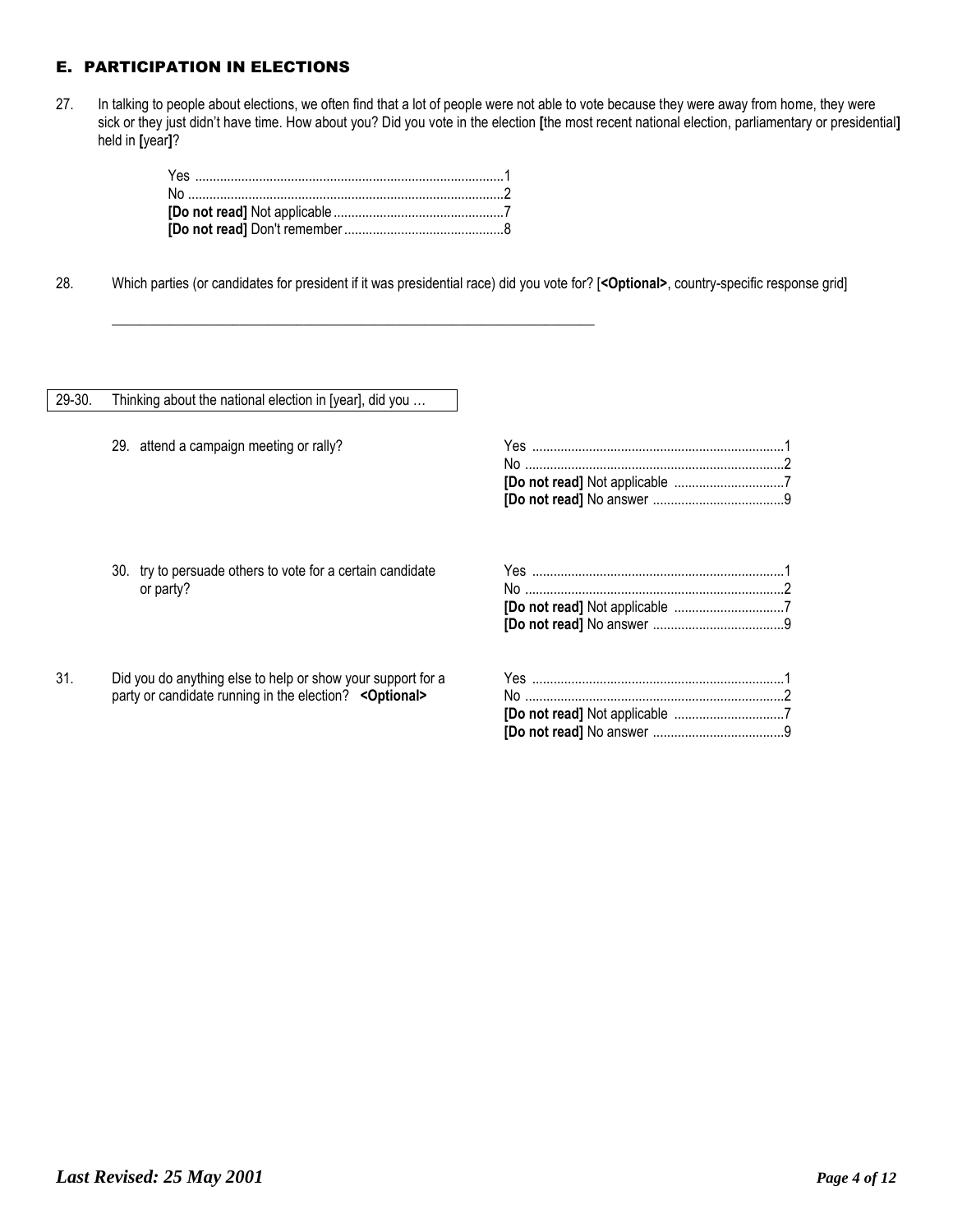# E. PARTICIPATION IN ELECTIONS

27. In talking to people about elections, we often find that a lot of people were not able to vote because they were away from home, they were sick or they just didn't have time. How about you? Did you vote in the election **[**the most recent national election, parliamentary or presidential**]**  held in **[**year**]**?

\_\_\_\_\_\_\_\_\_\_\_\_\_\_\_\_\_\_\_\_\_\_\_\_\_\_\_\_\_\_\_\_\_\_\_\_\_\_\_\_\_\_\_\_\_\_\_\_\_\_\_\_\_\_\_\_\_\_\_\_\_\_\_\_\_\_\_\_

28. Which parties (or candidates for president if it was presidential race) did you vote for? [**<Optional>**, country-specific response grid]

#### 29-30. Thinking about the national election in [year], did you …

29. attend a campaign meeting or rally?<br>^

30. try to persuade others to vote for a certain candidate or party?

31. Did you do anything else to help or show your support for a party or candidate running in the election? **<Optional>**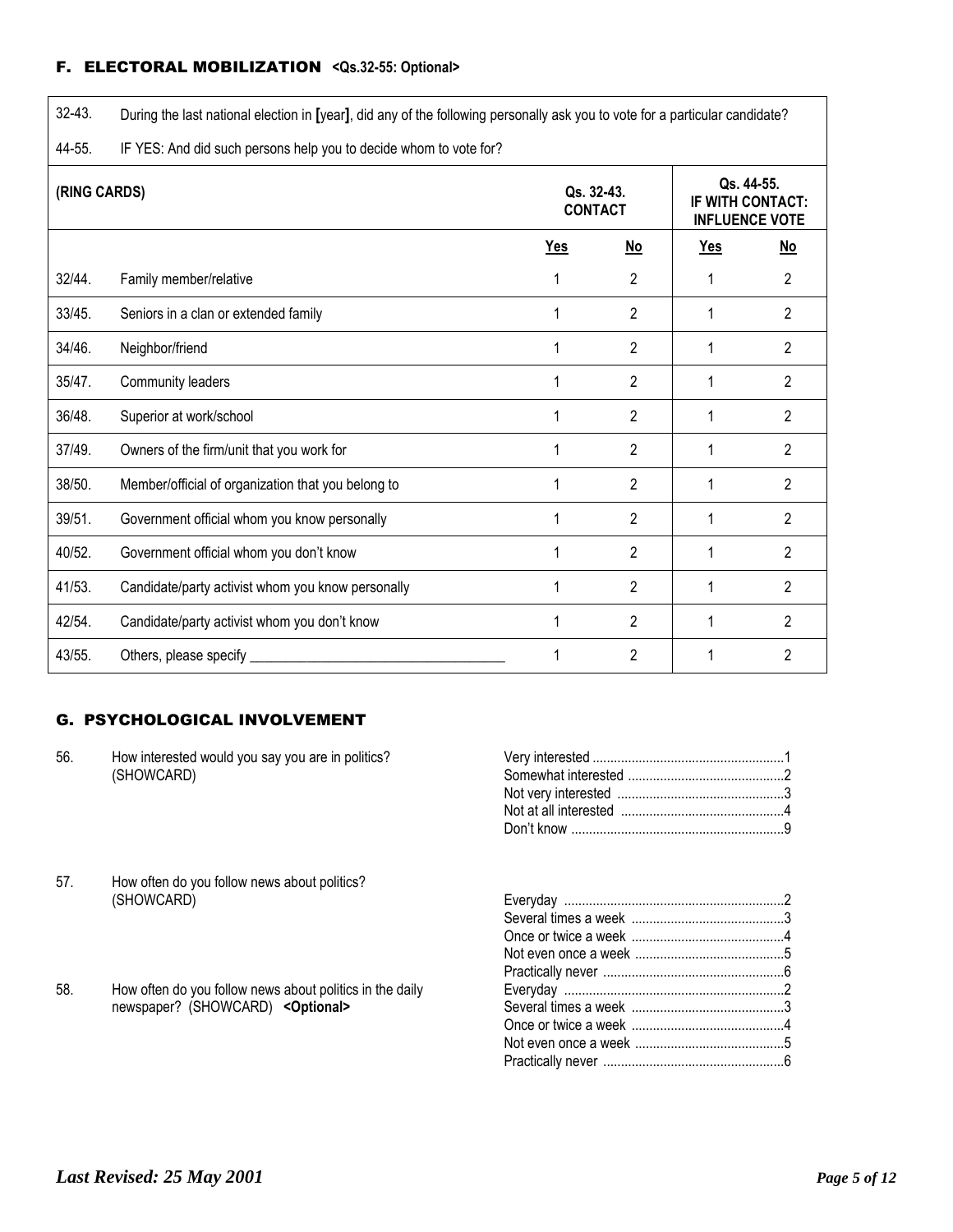# F. ELECTORAL MOBILIZATION **<Qs.32-55: Optional>**

| $32 - 43$ .  | During the last national election in [year], did any of the following personally ask you to vote for a particular candidate? |                              |                |                                                                |    |
|--------------|------------------------------------------------------------------------------------------------------------------------------|------------------------------|----------------|----------------------------------------------------------------|----|
| 44-55.       | IF YES: And did such persons help you to decide whom to vote for?                                                            |                              |                |                                                                |    |
| (RING CARDS) |                                                                                                                              | Qs. 32-43.<br><b>CONTACT</b> |                | Qs. 44-55.<br><b>IF WITH CONTACT:</b><br><b>INFLUENCE VOTE</b> |    |
|              |                                                                                                                              | Yes                          | No             | <b>Yes</b>                                                     | No |
| 32/44.       | Family member/relative                                                                                                       |                              | 2              | 1                                                              | 2  |
| 33/45.       | Seniors in a clan or extended family                                                                                         |                              | $\overline{2}$ | 1                                                              | 2  |
| 34/46.       | Neighbor/friend                                                                                                              |                              | $\overline{2}$ | 1                                                              | 2  |
| 35/47.       | Community leaders                                                                                                            |                              | $\overline{2}$ | 1                                                              | 2  |
| 36/48.       | Superior at work/school                                                                                                      |                              | $\overline{2}$ | 1                                                              | 2  |
| 37/49.       | Owners of the firm/unit that you work for                                                                                    |                              | $\overline{2}$ | 1                                                              | 2  |
| 38/50.       | Member/official of organization that you belong to                                                                           |                              | $\overline{2}$ | 1                                                              | 2  |
| 39/51.       | Government official whom you know personally                                                                                 |                              | $\overline{2}$ | 1                                                              | 2  |
| 40/52.       | Government official whom you don't know                                                                                      |                              | $\overline{2}$ |                                                                | 2  |
| 41/53.       | Candidate/party activist whom you know personally                                                                            |                              | $\overline{2}$ | 1                                                              | 2  |
| 42/54.       | Candidate/party activist whom you don't know                                                                                 | 1                            | $\overline{2}$ | 1                                                              | 2  |
| 43/55.       | Others, please specify                                                                                                       |                              | $\overline{2}$ | 1                                                              | 2  |

# G. PSYCHOLOGICAL INVOLVEMENT

| 56. | How interested would you say you are in politics?<br>(SHOWCARD) |  |
|-----|-----------------------------------------------------------------|--|
|     |                                                                 |  |
|     |                                                                 |  |
|     |                                                                 |  |
|     |                                                                 |  |
| 57. | How often do you follow news about politics?                    |  |
|     | (SHOWCARD)                                                      |  |
|     |                                                                 |  |
|     |                                                                 |  |
|     |                                                                 |  |
|     |                                                                 |  |
| 58. | How often do you follow news about politics in the daily        |  |
|     | newspaper? (SHOWCARD) < Optional>                               |  |
|     |                                                                 |  |
|     |                                                                 |  |

Practically never ...................................................6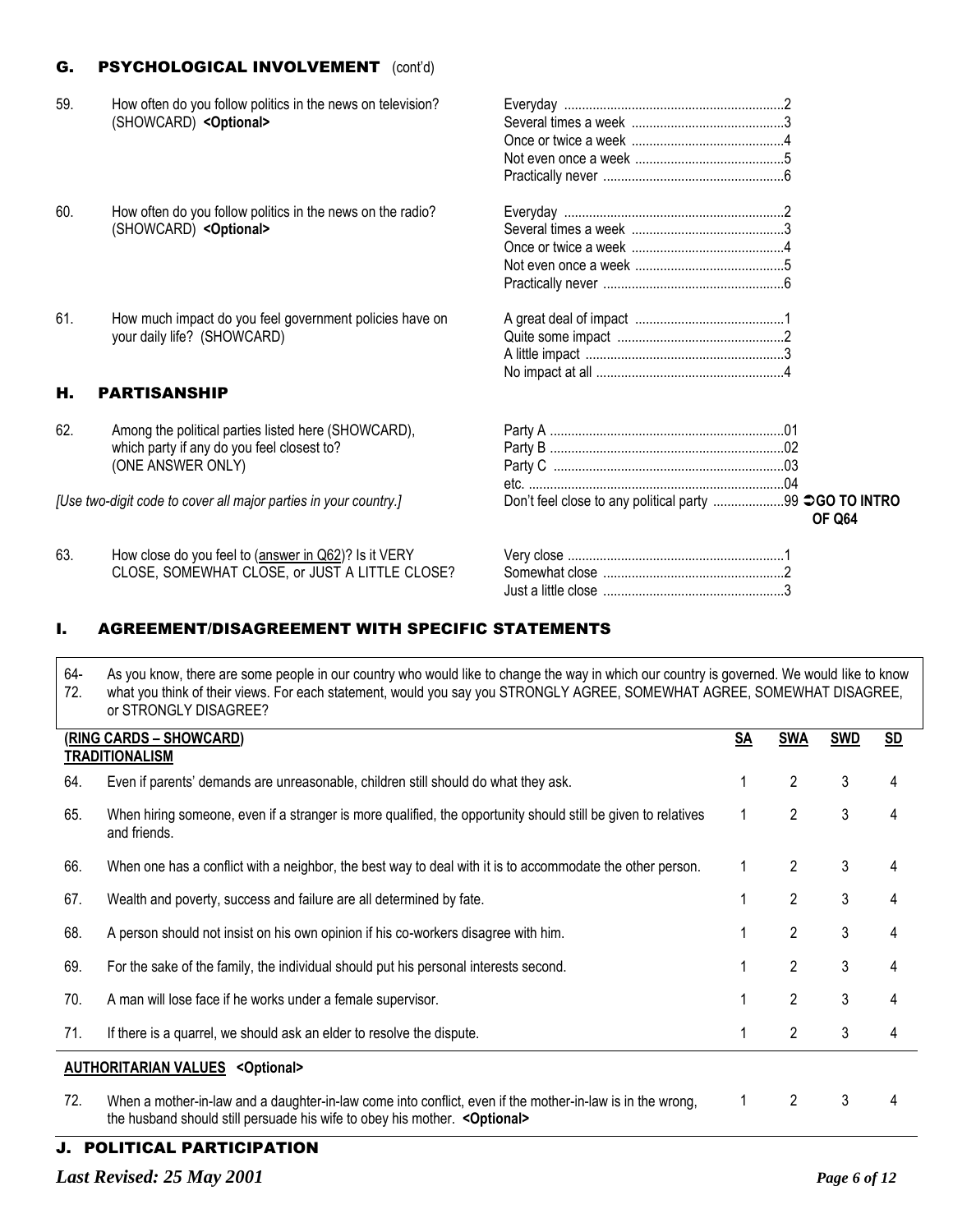# **G.** PSYCHOLOGICAL INVOLVEMENT (cont'd)

| 59. | How often do you follow politics in the news on television?<br>(SHOWCARD) < Optional>  |                                                        |               |
|-----|----------------------------------------------------------------------------------------|--------------------------------------------------------|---------------|
| 60. | How often do you follow politics in the news on the radio?                             |                                                        |               |
|     | (SHOWCARD) < Optional>                                                                 |                                                        |               |
|     |                                                                                        |                                                        |               |
|     |                                                                                        |                                                        |               |
|     |                                                                                        |                                                        |               |
| 61. | How much impact do you feel government policies have on<br>your daily life? (SHOWCARD) |                                                        |               |
|     |                                                                                        |                                                        |               |
| Н.  | <b>PARTISANSHIP</b>                                                                    |                                                        |               |
|     |                                                                                        |                                                        |               |
| 62. | Among the political parties listed here (SHOWCARD),                                    |                                                        |               |
|     | which party if any do you feel closest to?                                             |                                                        |               |
|     | (ONE ANSWER ONLY)                                                                      |                                                        |               |
|     |                                                                                        |                                                        |               |
|     | [Use two-digit code to cover all major parties in your country.]                       | Don't feel close to any political party 99 CO TO INTRO | <b>OF Q64</b> |
| 63. | How close do you feel to (answer in Q62)? Is it VERY                                   |                                                        |               |
|     | CLOSE, SOMEWHAT CLOSE, or JUST A LITTLE CLOSE?                                         |                                                        |               |

# I. AGREEMENT/DISAGREEMENT WITH SPECIFIC STATEMENTS

| 64-<br>72. | As you know, there are some people in our country who would like to change the way in which our country is governed. We would like to know<br>what you think of their views. For each statement, would you say you STRONGLY AGREE, SOMEWHAT AGREE, SOMEWHAT DISAGREE,<br>or STRONGLY DISAGREE? |           |                |            |                           |  |  |
|------------|------------------------------------------------------------------------------------------------------------------------------------------------------------------------------------------------------------------------------------------------------------------------------------------------|-----------|----------------|------------|---------------------------|--|--|
|            | (RING CARDS - SHOWCARD)<br><b>TRADITIONALISM</b>                                                                                                                                                                                                                                               | <b>SA</b> | <b>SWA</b>     | <b>SWD</b> | $\underline{\mathsf{SD}}$ |  |  |
| 64.        | Even if parents' demands are unreasonable, children still should do what they ask.                                                                                                                                                                                                             |           | 2              | 3          | 4                         |  |  |
| 65.        | When hiring someone, even if a stranger is more qualified, the opportunity should still be given to relatives<br>and friends.                                                                                                                                                                  | 1         | $\overline{2}$ | 3          | 4                         |  |  |
| 66.        | When one has a conflict with a neighbor, the best way to deal with it is to accommodate the other person.                                                                                                                                                                                      | 1         | $\overline{2}$ | 3          | 4                         |  |  |
| 67.        | Wealth and poverty, success and failure are all determined by fate.                                                                                                                                                                                                                            |           | $\overline{2}$ | 3          | 4                         |  |  |
| 68.        | A person should not insist on his own opinion if his co-workers disagree with him.                                                                                                                                                                                                             |           | $\overline{2}$ | 3          | 4                         |  |  |
| 69.        | For the sake of the family, the individual should put his personal interests second.                                                                                                                                                                                                           |           | 2              | 3          | 4                         |  |  |
| 70.        | A man will lose face if he works under a female supervisor.                                                                                                                                                                                                                                    |           | $\overline{2}$ | 3          |                           |  |  |
| 71.        | If there is a quarrel, we should ask an elder to resolve the dispute.                                                                                                                                                                                                                          |           | 2              | 3          | 4                         |  |  |
|            | <b>AUTHORITARIAN VALUES &lt; Optional&gt;</b>                                                                                                                                                                                                                                                  |           |                |            |                           |  |  |
| 72.        | When a mother-in-law and a daughter-in-law come into conflict, even if the mother-in-law is in the wrong,<br>the husband should still persuade his wife to obey his mother. < Optional>                                                                                                        | 1         | 2              | 3          |                           |  |  |

Just a little close ...................................................3

# J. POLITICAL PARTICIPATION

*Last Revised: 25 May 2001 Page 6 of 12*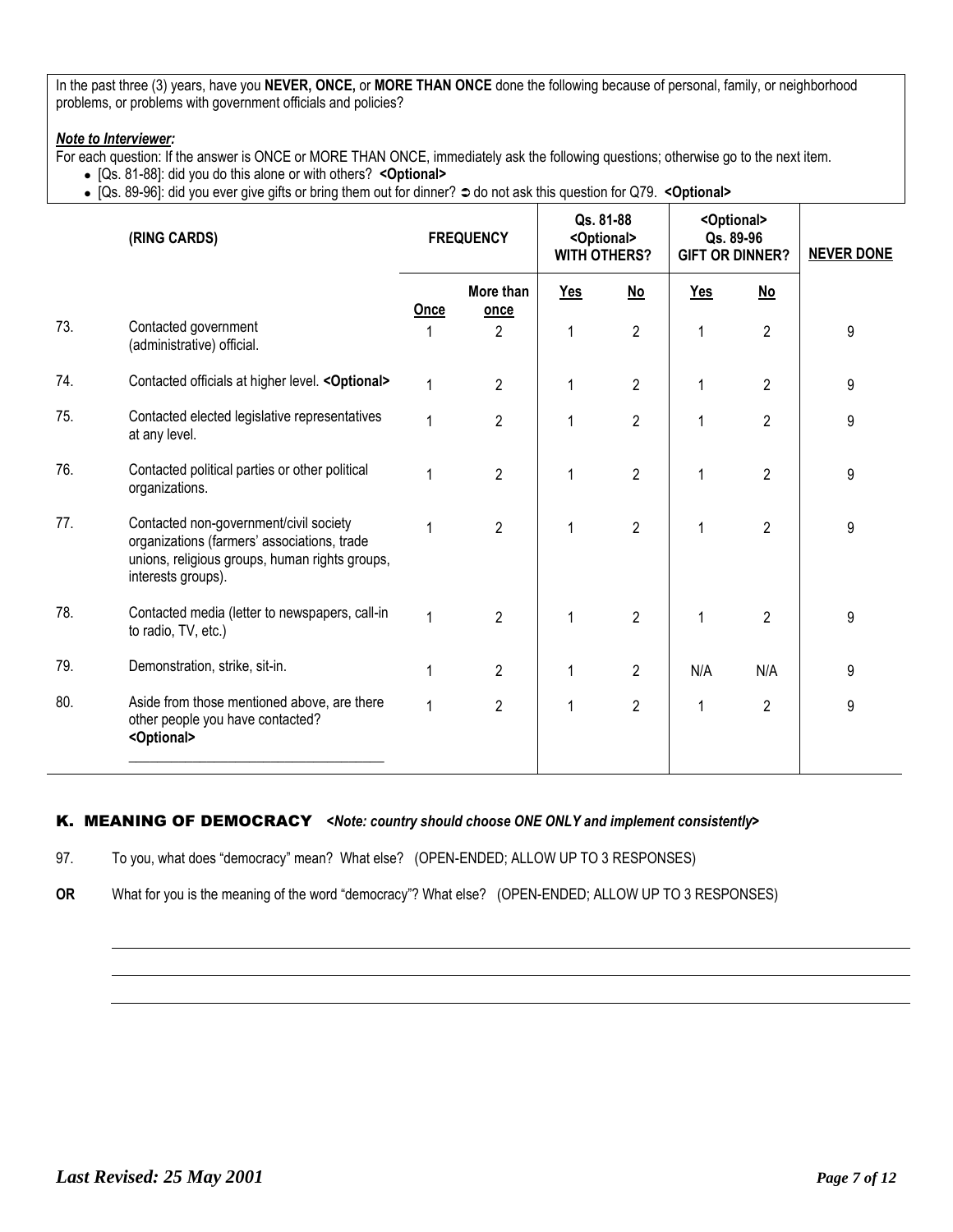In the past three (3) years, have you **NEVER, ONCE,** or **MORE THAN ONCE** done the following because of personal, family, or neighborhood problems, or problems with government officials and policies?

#### *Note to Interviewer:*

For each question: If the answer is ONCE or MORE THAN ONCE, immediately ask the following questions; otherwise go to the next item.

- [Qs. 81-88]: did you do this alone or with others? **<Optional>**
- [Qs. 89-96]: did you ever give gifts or bring them out for dinner?  $\supset$  do not ask this question for Q79. < Optional>

|     | (RING CARDS)                                                                                                                                                  |              | <b>FREQUENCY</b>  |     |                |              |                |   | Qs. 81-88<br><optional><br/><b>WITH OTHERS?</b></optional> |  | <optional><br/>Qs. 89-96<br/><b>GIFT OR DINNER?</b></optional> | <b>NEVER DONE</b> |
|-----|---------------------------------------------------------------------------------------------------------------------------------------------------------------|--------------|-------------------|-----|----------------|--------------|----------------|---|------------------------------------------------------------|--|----------------------------------------------------------------|-------------------|
|     |                                                                                                                                                               | Once         | More than<br>once | Yes | $No$           | <b>Yes</b>   | $No$           |   |                                                            |  |                                                                |                   |
| 73. | Contacted government<br>(administrative) official.                                                                                                            |              | $\overline{2}$    | 1   | $\overline{2}$ | 1            | $\overline{2}$ | 9 |                                                            |  |                                                                |                   |
| 74. | Contacted officials at higher level. < Optional>                                                                                                              | $\mathbf{1}$ | $\overline{2}$    | 1   | $\overline{2}$ | 1            | $\overline{2}$ | 9 |                                                            |  |                                                                |                   |
| 75. | Contacted elected legislative representatives<br>at any level.                                                                                                | $\mathbf{1}$ | $\overline{2}$    |     | $\overline{2}$ | 1            | $\overline{2}$ | 9 |                                                            |  |                                                                |                   |
| 76. | Contacted political parties or other political<br>organizations.                                                                                              | 1            | $\overline{2}$    | 1   | $\overline{2}$ | 1            | $\overline{2}$ | 9 |                                                            |  |                                                                |                   |
| 77. | Contacted non-government/civil society<br>organizations (farmers' associations, trade<br>unions, religious groups, human rights groups,<br>interests groups). | 1            | $\overline{2}$    | 1   | $\overline{2}$ | 1            | $\overline{2}$ | 9 |                                                            |  |                                                                |                   |
| 78. | Contacted media (letter to newspapers, call-in<br>to radio, TV, etc.)                                                                                         | $\mathbf{1}$ | $\overline{2}$    |     | $\overline{2}$ | 1            | $\overline{2}$ | 9 |                                                            |  |                                                                |                   |
| 79. | Demonstration, strike, sit-in.                                                                                                                                | 1            | $\overline{2}$    |     | $\overline{c}$ | N/A          | N/A            | 9 |                                                            |  |                                                                |                   |
| 80. | Aside from those mentioned above, are there<br>other people you have contacted?<br><optional></optional>                                                      | $\mathbf{1}$ | $\overline{2}$    | 1   | $\overline{2}$ | $\mathbf{1}$ | $\overline{2}$ | 9 |                                                            |  |                                                                |                   |

# K. MEANING OF DEMOCRACY*<Note: country should choose ONE ONLY and implement consistently>*

97. To you, what does "democracy" mean? What else? (OPEN-ENDED; ALLOW UP TO 3 RESPONSES)

**OR** What for you is the meaning of the word "democracy"? What else? (OPEN-ENDED; ALLOW UP TO 3 RESPONSES)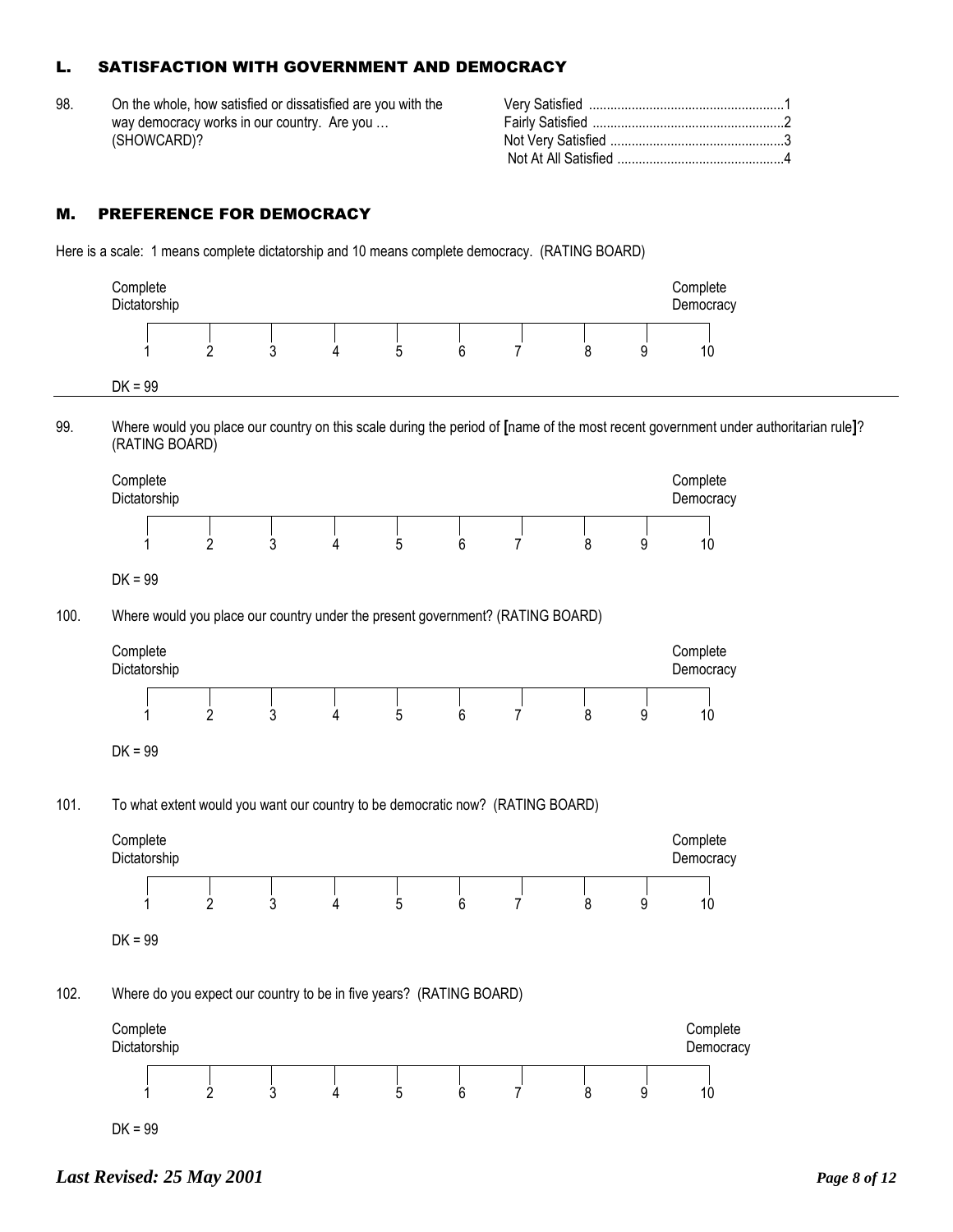# L. SATISFACTION WITH GOVERNMENT AND DEMOCRACY

98. On the whole, how satisfied or dissatisfied are you with the way democracy works in our country. Are you … (SHOWCARD)?

## M. PREFERENCE FOR DEMOCRACY

Here is a scale: 1 means complete dictatorship and 10 means complete democracy. (RATING BOARD)

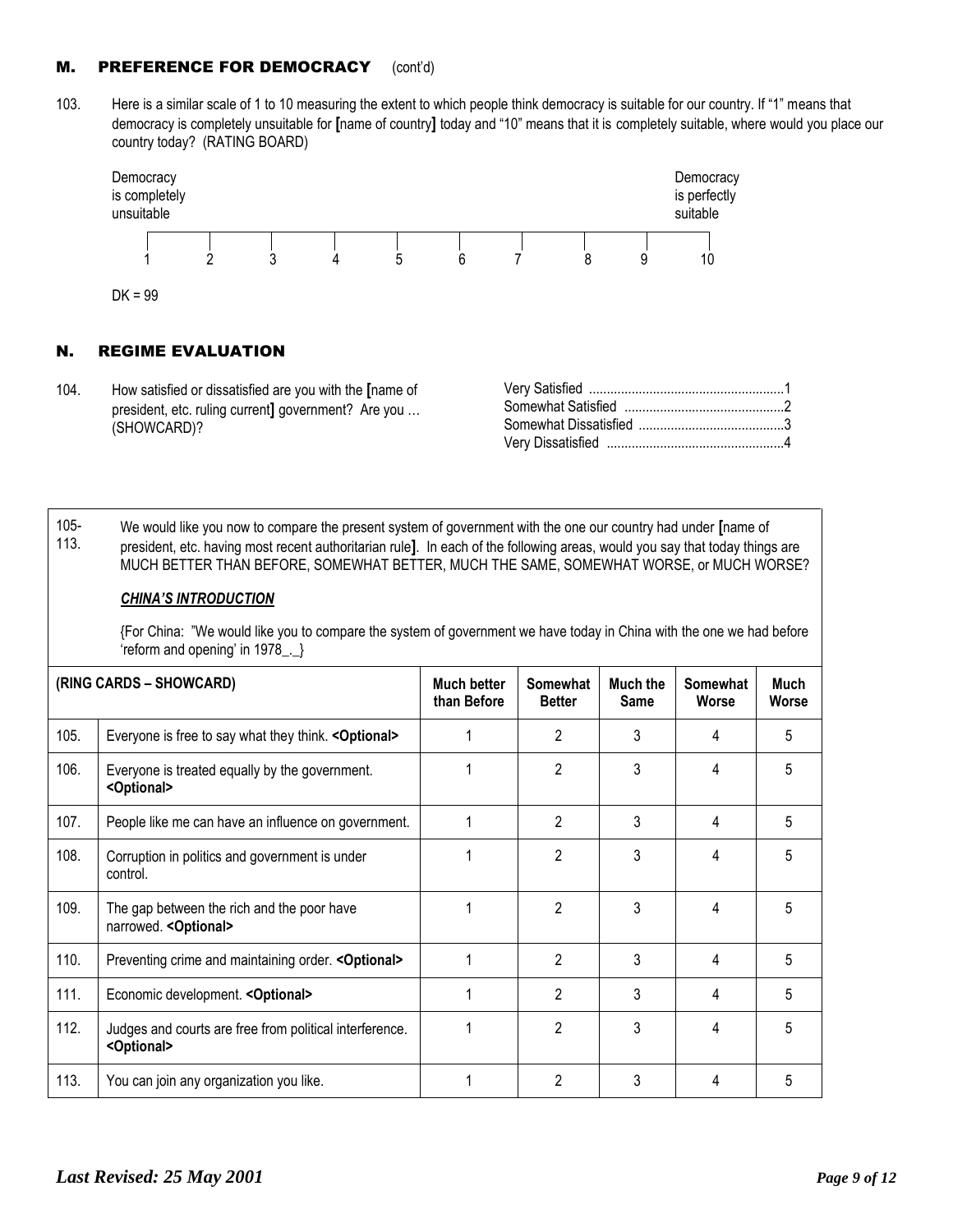# **M.** PREFERENCE FOR DEMOCRACY (cont'd)

103. Here is a similar scale of 1 to 10 measuring the extent to which people think democracy is suitable for our country. If "1" means that democracy is completely unsuitable for **[**name of country**]** today and "10" means that it is completely suitable, where would you place our country today? (RATING BOARD)



# N. REGIME EVALUATION

104. How satisfied or dissatisfied are you with the **[**name of president, etc. ruling current**]** government? Are you … (SHOWCARD)?

105- 113. We would like you now to compare the present system of government with the one our country had under **[**name of president, etc. having most recent authoritarian rule**]**. In each of the following areas, would you say that today things are MUCH BETTER THAN BEFORE, SOMEWHAT BETTER, MUCH THE SAME, SOMEWHAT WORSE, or MUCH WORSE?

#### *CHINA'S INTRODUCTION*

{For China: "We would like you to compare the system of government we have today in China with the one we had before 'reform and opening' in 1978\_.\_}

| (RING CARDS – SHOWCARD) |                                                                                  | <b>Much better</b><br>than Before | <b>Somewhat</b><br><b>Better</b> | Much the<br><b>Same</b> | Somewhat<br>Worse | Much<br>Worse |
|-------------------------|----------------------------------------------------------------------------------|-----------------------------------|----------------------------------|-------------------------|-------------------|---------------|
| 105.                    | Everyone is free to say what they think. < Optional>                             |                                   | 2                                | 3                       | 4                 | 5             |
| 106.                    | Everyone is treated equally by the government.<br><optional></optional>          |                                   | 2                                | 3                       | 4                 | 5             |
| 107.                    | People like me can have an influence on government.                              |                                   | 2                                | 3                       | 4                 | 5             |
| 108.                    | Corruption in politics and government is under<br>control.                       |                                   | $\overline{2}$                   | 3                       | 4                 | 5             |
| 109.                    | The gap between the rich and the poor have<br>narrowed. < Optional>              |                                   | $\mathfrak{p}$                   | 3                       | 4                 | 5             |
| 110.                    | Preventing crime and maintaining order. < Optional>                              |                                   | $\overline{2}$                   | 3                       | 4                 | 5             |
| 111.                    | Economic development. < Optional>                                                |                                   | $\overline{2}$                   | 3                       | 4                 | 5             |
| 112.                    | Judges and courts are free from political interference.<br><optional></optional> |                                   | 2                                | 3                       | 4                 | 5             |
| 113.                    | You can join any organization you like.                                          |                                   | 2                                | 3                       | 4                 | 5             |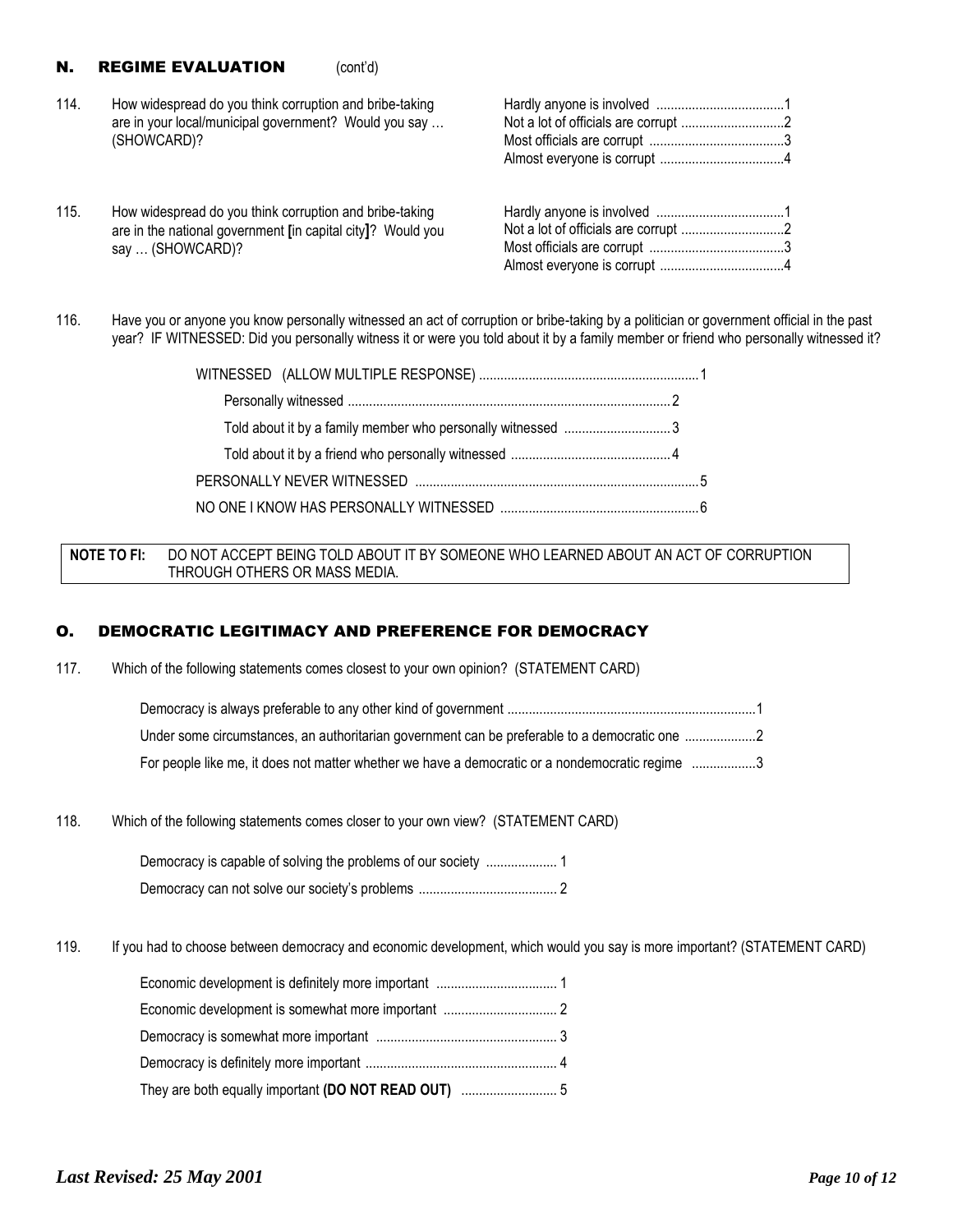#### **N. REGIME EVALUATION** (cont'd)

- 114. How widespread do you think corruption and bribe-taking are in your local/municipal government? Would you say … (SHOWCARD)?
- 115. How widespread do you think corruption and bribe-taking are in the national government **[**in capital city**]**? Would you say … (SHOWCARD)?

Hardly anyone is involved ....................................1 Not a lot of officials are corrupt .............................2 Most officials are corrupt ......................................3 Almost everyone is corrupt ...................................4

116. Have you or anyone you know personally witnessed an act of corruption or bribe-taking by a politician or government official in the past year? IF WITNESSED: Did you personally witness it or were you told about it by a family member or friend who personally witnessed it?

| Told about it by a family member who personally witnessed 3 |  |
|-------------------------------------------------------------|--|
|                                                             |  |
|                                                             |  |
|                                                             |  |

#### **NOTE TO FI:** DO NOT ACCEPT BEING TOLD ABOUT IT BY SOMEONE WHO LEARNED ABOUT AN ACT OF CORRUPTION THROUGH OTHERS OR MASS MEDIA.

#### O. DEMOCRATIC LEGITIMACY AND PREFERENCE FOR DEMOCRACY

117. Which of the following statements comes closest to your own opinion? (STATEMENT CARD)

| Under some circumstances, an authoritarian government can be preferable to a democratic one 2   |  |
|-------------------------------------------------------------------------------------------------|--|
| For people like me, it does not matter whether we have a democratic or a nondemocratic regime 3 |  |

118. Which of the following statements comes closer to your own view? (STATEMENT CARD)

119. If you had to choose between democracy and economic development, which would you say is more important? (STATEMENT CARD)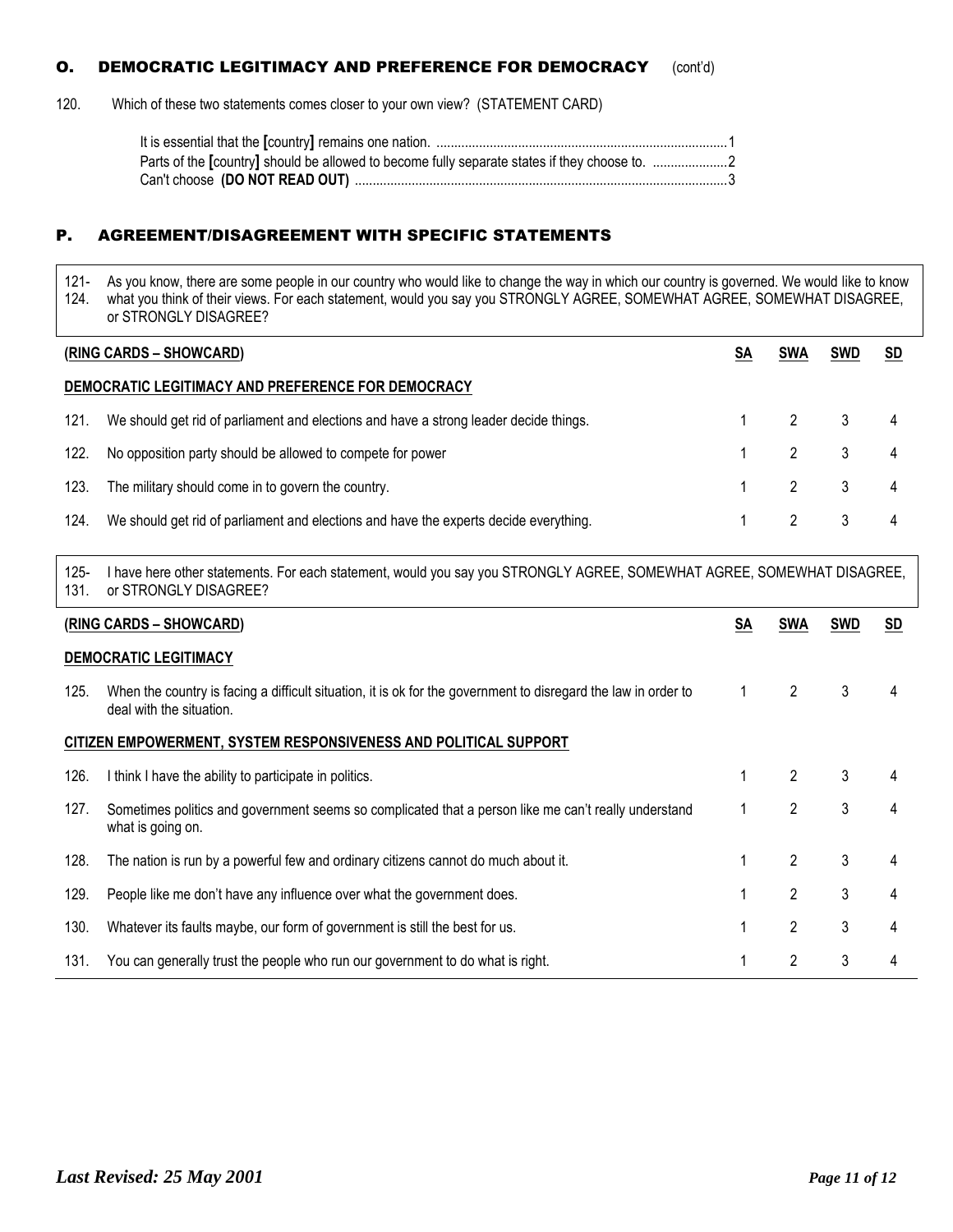# **O.** DEMOCRATIC LEGITIMACY AND PREFERENCE FOR DEMOCRACY (cont'd)

120. Which of these two statements comes closer to your own view? (STATEMENT CARD)

| Parts of the [country] should be allowed to become fully separate states if they choose to. 2 |  |
|-----------------------------------------------------------------------------------------------|--|
|                                                                                               |  |

### P. AGREEMENT/DISAGREEMENT WITH SPECIFIC STATEMENTS

121- 124. As you know, there are some people in our country who would like to change the way in which our country is governed. We would like to know what you think of their views. For each statement, would you say you STRONGLY AGREE, SOMEWHAT AGREE, SOMEWHAT DISAGREE, or STRONGLY DISAGREE?

|      | (RING CARDS – SHOWCARD)                                                               | <b>SWA</b>                  | <b>SWD</b>              | <b>SD</b> |
|------|---------------------------------------------------------------------------------------|-----------------------------|-------------------------|-----------|
|      | DEMOCRATIC LEGITIMACY AND PREFERENCE FOR DEMOCRACY                                    |                             |                         |           |
| 121. | We should get rid of parliament and elections and have a strong leader decide things. | $1 \quad 2 \quad 3 \quad 4$ |                         |           |
| 122. | No opposition party should be allowed to compete for power                            |                             | 2 3 4                   |           |
| 123. | The military should come in to govern the country.                                    | $1 \quad 2 \quad 3 \quad 4$ |                         |           |
| 124. | We should get rid of parliament and elections and have the experts decide everything. | $\mathcal{P}$               | $\overline{\mathbf{3}}$ |           |

125- 131. I have here other statements. For each statement, would you say you STRONGLY AGREE, SOMEWHAT AGREE, SOMEWHAT DISAGREE, or STRONGLY DISAGREE?

|      | (RING CARDS - SHOWCARD)                                                                                                                    | SA | <b>SWA</b>     | <b>SWD</b> | <b>SD</b> |  |  |
|------|--------------------------------------------------------------------------------------------------------------------------------------------|----|----------------|------------|-----------|--|--|
|      | <b>DEMOCRATIC LEGITIMACY</b>                                                                                                               |    |                |            |           |  |  |
| 125. | When the country is facing a difficult situation, it is ok for the government to disregard the law in order to<br>deal with the situation. |    | 2              | 3          | 4         |  |  |
|      | CITIZEN EMPOWERMENT, SYSTEM RESPONSIVENESS AND POLITICAL SUPPORT                                                                           |    |                |            |           |  |  |
| 126. | I think I have the ability to participate in politics.                                                                                     |    | 2              | 3          |           |  |  |
| 127. | Sometimes politics and government seems so complicated that a person like me can't really understand<br>what is going on.                  |    | $\overline{2}$ | 3          | 4         |  |  |
| 128. | The nation is run by a powerful few and ordinary citizens cannot do much about it.                                                         |    | $\overline{2}$ | 3          | 4         |  |  |
| 129. | People like me don't have any influence over what the government does.                                                                     |    | $\overline{2}$ | 3          | 4         |  |  |
| 130. | Whatever its faults maybe, our form of government is still the best for us.                                                                |    | $\overline{2}$ | 3          | 4         |  |  |
| 131. | You can generally trust the people who run our government to do what is right.                                                             |    | 2              | 3          | 4         |  |  |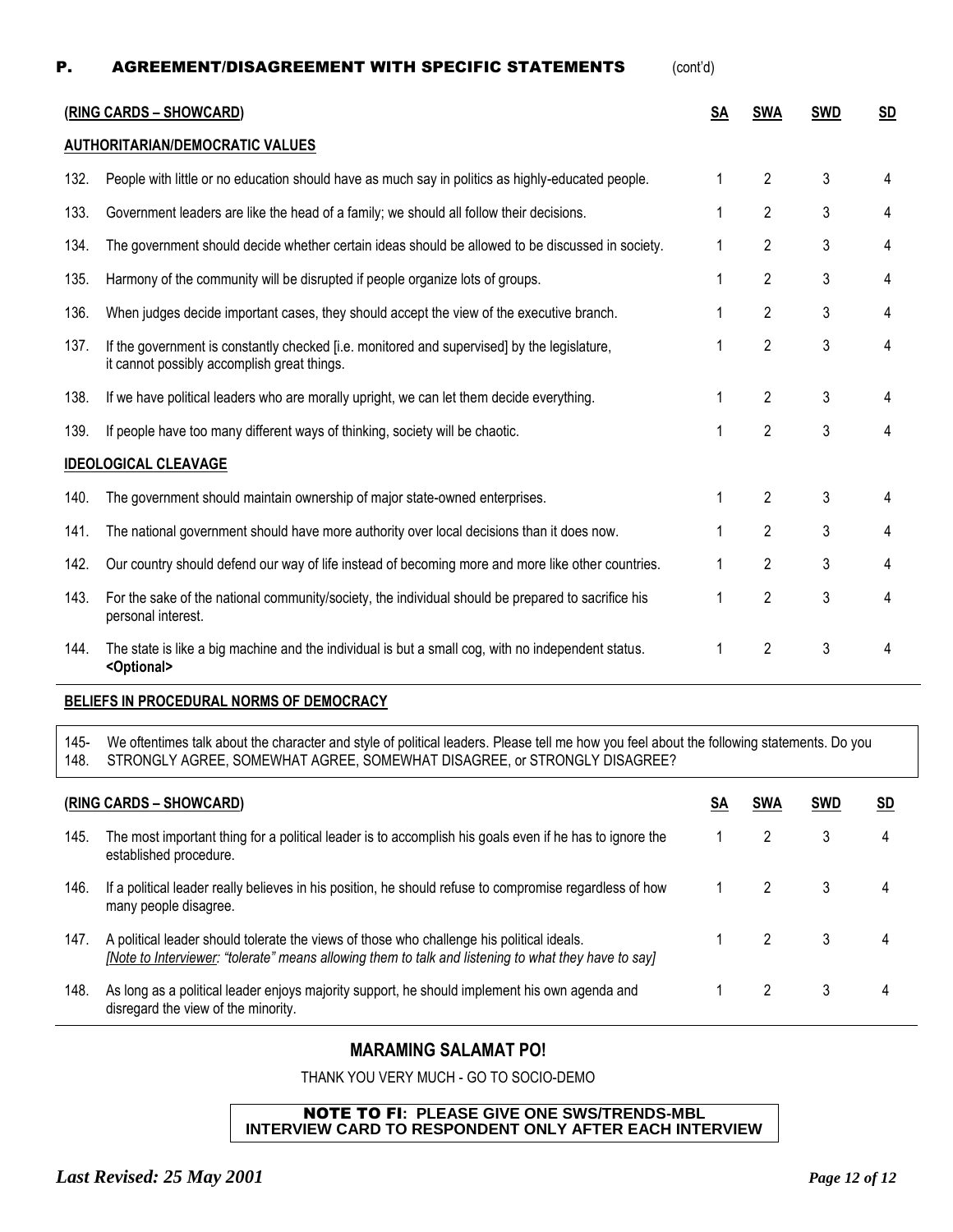| P.   | <b>AGREEMENT/DISAGREEMENT WITH SPECIFIC STATEMENTS</b>                                                                                     | (cont'd)  |                |            |           |
|------|--------------------------------------------------------------------------------------------------------------------------------------------|-----------|----------------|------------|-----------|
|      | (RING CARDS - SHOWCARD)                                                                                                                    | <b>SA</b> | <b>SWA</b>     | <b>SWD</b> | <b>SD</b> |
|      | <b>AUTHORITARIAN/DEMOCRATIC VALUES</b>                                                                                                     |           |                |            |           |
| 132. | People with little or no education should have as much say in politics as highly-educated people.                                          | 1         | 2              | 3          | 4         |
| 133. | Government leaders are like the head of a family; we should all follow their decisions.                                                    |           | 2              | 3          | 4         |
| 134. | The government should decide whether certain ideas should be allowed to be discussed in society.                                           | 1         | 2              | 3          | 4         |
| 135. | Harmony of the community will be disrupted if people organize lots of groups.                                                              | 1         | 2              | 3          | 4         |
| 136. | When judges decide important cases, they should accept the view of the executive branch.                                                   | 1         | 2              | 3          | 4         |
| 137. | If the government is constantly checked [i.e. monitored and supervised] by the legislature,<br>it cannot possibly accomplish great things. | 1         | 2              | 3          | 4         |
| 138. | If we have political leaders who are morally upright, we can let them decide everything.                                                   | 1         | 2              | 3          | 4         |
| 139. | If people have too many different ways of thinking, society will be chaotic.                                                               | 1         | $\mathbf{2}$   | 3          | 4         |
|      | <b>IDEOLOGICAL CLEAVAGE</b>                                                                                                                |           |                |            |           |
| 140. | The government should maintain ownership of major state-owned enterprises.                                                                 | 1         | 2              | 3          | 4         |
| 141. | The national government should have more authority over local decisions than it does now.                                                  | 1         | 2              | 3          | 4         |
| 142. | Our country should defend our way of life instead of becoming more and more like other countries.                                          |           | 2              | 3          | 4         |
| 143. | For the sake of the national community/society, the individual should be prepared to sacrifice his<br>personal interest.                   | 1         | $\overline{2}$ | 3          | 4         |
| 144. | The state is like a big machine and the individual is but a small cog, with no independent status.<br><optional></optional>                | 1         | $\overline{2}$ | 3          | 4         |

#### **BELIEFS IN PROCEDURAL NORMS OF DEMOCRACY**

145- 148. We oftentimes talk about the character and style of political leaders. Please tell me how you feel about the following statements. Do you STRONGLY AGREE, SOMEWHAT AGREE, SOMEWHAT DISAGREE, or STRONGLY DISAGREE?

|      | (RING CARDS – SHOWCARD)                                                                                                                                                                           | SА | <b>SWA</b> | SWD | SD |
|------|---------------------------------------------------------------------------------------------------------------------------------------------------------------------------------------------------|----|------------|-----|----|
| 145. | The most important thing for a political leader is to accomplish his goals even if he has to ignore the<br>established procedure.                                                                 |    |            | 3   | 4  |
| 146. | If a political leader really believes in his position, he should refuse to compromise regardless of how<br>many people disagree.                                                                  |    |            | 3   | 4  |
| 147. | A political leader should tolerate the views of those who challenge his political ideals.<br>[Note to Interviewer: "tolerate" means allowing them to talk and listening to what they have to say] |    |            | 3   | 4  |
| 148. | As long as a political leader enjoys majority support, he should implement his own agenda and<br>disregard the view of the minority.                                                              |    |            | 3   | 4  |

# **MARAMING SALAMAT PO!**

THANK YOU VERY MUCH - GO TO SOCIO-DEMO

#### NOTE TO FI**: PLEASE GIVE ONE SWS/TRENDS-MBL INTERVIEW CARD TO RESPONDENT ONLY AFTER EACH INTERVIEW**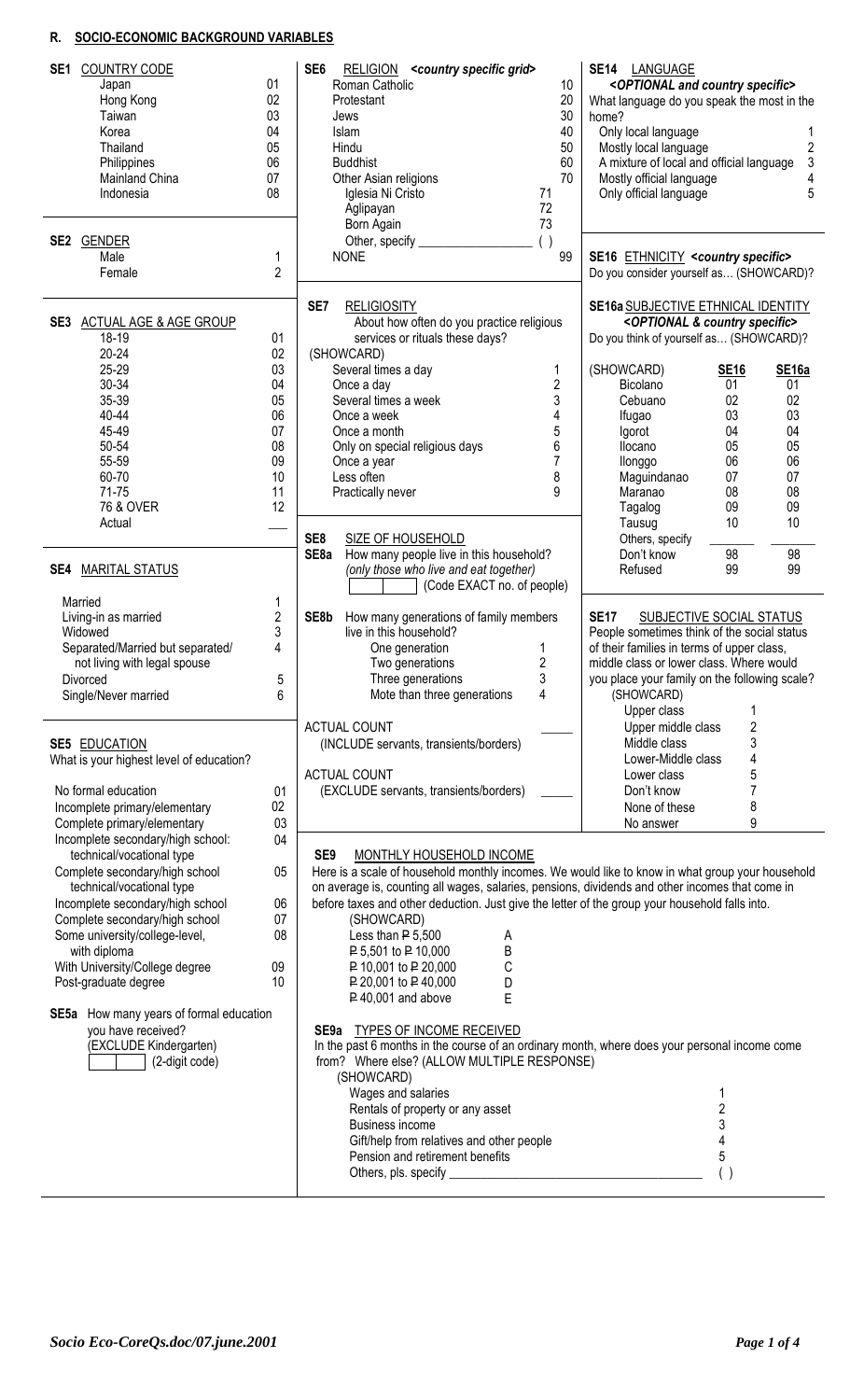# **R. SOCIO-ECONOMIC BACKGROUND VARIABLES**

| <b>COUNTRY CODE</b><br>SE1<br>Japan<br>Hong Kong<br>Taiwan<br>Korea<br>Thailand<br>Philippines<br>Mainland China<br>Indonesia | 01<br>02<br>03<br>04<br>05<br>06<br>07<br>08 | SE <sub>6</sub><br>RELIGION <country grid="" specific=""><br/>Roman Catholic<br/>10<br/>20<br/>Protestant<br/>30<br/>Jews<br/>40<br/>Islam<br/>50<br/>Hindu<br/>60<br/><b>Buddhist</b><br/>70<br/>Other Asian religions<br/>Iglesia Ni Cristo<br/>71<br/>72<br/>Aglipayan<br/>73<br/>Born Again</country> | SE14 LANGUAGE<br><optional and="" country="" specific=""><br/>What language do you speak the most in the<br/>home?<br/>Only local language<br/>Mostly local language<br/>2<br/><math>\mathbf{3}</math><br/>A mixture of local and official language<br/>Mostly official language<br/>4<br/>5<br/>Only official language</optional> |
|-------------------------------------------------------------------------------------------------------------------------------|----------------------------------------------|-----------------------------------------------------------------------------------------------------------------------------------------------------------------------------------------------------------------------------------------------------------------------------------------------------------|------------------------------------------------------------------------------------------------------------------------------------------------------------------------------------------------------------------------------------------------------------------------------------------------------------------------------------|
| SE2 GENDER<br>Male<br>Female                                                                                                  | 1<br>$\overline{2}$                          | ( )<br>Other, specify<br>99<br><b>NONE</b>                                                                                                                                                                                                                                                                | SE16 ETHNICITY <country specific=""><br/>Do you consider yourself as (SHOWCARD)?</country>                                                                                                                                                                                                                                         |
| SE3 ACTUAL AGE & AGE GROUP<br>18-19<br>$20 - 24$                                                                              | 01<br>02                                     | SE7<br><b>RELIGIOSITY</b><br>About how often do you practice religious<br>services or rituals these days?<br>(SHOWCARD)                                                                                                                                                                                   | <b>SE16a SUBJECTIVE ETHNICAL IDENTITY</b><br><optional &="" country="" specific=""><br/>Do you think of yourself as (SHOWCARD)?</optional>                                                                                                                                                                                         |
| 25-29                                                                                                                         | 03                                           | Several times a day<br>1                                                                                                                                                                                                                                                                                  | (SHOWCARD)<br>SE <sub>16a</sub><br><b>SE16</b>                                                                                                                                                                                                                                                                                     |
| 30-34                                                                                                                         | 04                                           | $\overline{2}$<br>Once a day                                                                                                                                                                                                                                                                              | Bicolano<br>01<br>01                                                                                                                                                                                                                                                                                                               |
| 35-39                                                                                                                         | 05                                           | 3<br>Several times a week                                                                                                                                                                                                                                                                                 | 02<br>Cebuano<br>02                                                                                                                                                                                                                                                                                                                |
| 40-44<br>45-49                                                                                                                | 06<br>07                                     | 4<br>Once a week<br>5<br>Once a month                                                                                                                                                                                                                                                                     | 03<br>03<br>Ifugao<br>04<br>04<br>Igorot                                                                                                                                                                                                                                                                                           |
| 50-54                                                                                                                         | 08                                           | 6<br>Only on special religious days                                                                                                                                                                                                                                                                       | 05<br>05<br>Ilocano                                                                                                                                                                                                                                                                                                                |
| 55-59                                                                                                                         | 09                                           | Once a year                                                                                                                                                                                                                                                                                               | 06<br>06<br>llonggo                                                                                                                                                                                                                                                                                                                |
| 60-70                                                                                                                         | 10                                           | 8<br>Less often                                                                                                                                                                                                                                                                                           | 07<br>Maguindanao<br>07                                                                                                                                                                                                                                                                                                            |
| 71-75                                                                                                                         | 11                                           | 9<br>Practically never                                                                                                                                                                                                                                                                                    | 08<br>Maranao<br>08                                                                                                                                                                                                                                                                                                                |
| 76 & OVER                                                                                                                     | 12                                           |                                                                                                                                                                                                                                                                                                           | 09<br>Tagalog<br>09                                                                                                                                                                                                                                                                                                                |
| Actual                                                                                                                        |                                              | SE8<br><b>SIZE OF HOUSEHOLD</b>                                                                                                                                                                                                                                                                           | 10<br>10<br>Tausug<br>Others, specify                                                                                                                                                                                                                                                                                              |
|                                                                                                                               |                                              | How many people live in this household?<br>SE <sub>8</sub> a                                                                                                                                                                                                                                              | 98<br>98<br>Don't know                                                                                                                                                                                                                                                                                                             |
| <b>SE4 MARITAL STATUS</b>                                                                                                     |                                              | (only those who live and eat together)                                                                                                                                                                                                                                                                    | 99<br>Refused<br>99                                                                                                                                                                                                                                                                                                                |
|                                                                                                                               |                                              | (Code EXACT no. of people)                                                                                                                                                                                                                                                                                |                                                                                                                                                                                                                                                                                                                                    |
| Married                                                                                                                       | 1                                            |                                                                                                                                                                                                                                                                                                           |                                                                                                                                                                                                                                                                                                                                    |
| Living-in as married                                                                                                          | $\overline{\mathbf{c}}$                      | SE8b<br>How many generations of family members                                                                                                                                                                                                                                                            | <b>SE17</b><br>SUBJECTIVE SOCIAL STATUS                                                                                                                                                                                                                                                                                            |
| Widowed<br>Separated/Married but separated/                                                                                   | 3<br>4                                       | live in this household?                                                                                                                                                                                                                                                                                   | People sometimes think of the social status<br>of their families in terms of upper class,                                                                                                                                                                                                                                          |
| not living with legal spouse                                                                                                  |                                              | One generation<br>1<br>2<br>Two generations                                                                                                                                                                                                                                                               | middle class or lower class. Where would                                                                                                                                                                                                                                                                                           |
| Divorced                                                                                                                      | 5                                            | 3<br>Three generations                                                                                                                                                                                                                                                                                    | you place your family on the following scale?                                                                                                                                                                                                                                                                                      |
| Single/Never married                                                                                                          | 6                                            | Mote than three generations<br>4                                                                                                                                                                                                                                                                          | (SHOWCARD)                                                                                                                                                                                                                                                                                                                         |
|                                                                                                                               |                                              |                                                                                                                                                                                                                                                                                                           | Upper class<br>1                                                                                                                                                                                                                                                                                                                   |
|                                                                                                                               |                                              | <b>ACTUAL COUNT</b>                                                                                                                                                                                                                                                                                       | Upper middle class<br>2                                                                                                                                                                                                                                                                                                            |
| <b>SE5 EDUCATION</b>                                                                                                          |                                              | (INCLUDE servants, transients/borders)                                                                                                                                                                                                                                                                    | 3<br>Middle class                                                                                                                                                                                                                                                                                                                  |
| What is your highest level of education?                                                                                      |                                              |                                                                                                                                                                                                                                                                                                           | 4<br>Lower-Middle class                                                                                                                                                                                                                                                                                                            |
| No formal education                                                                                                           | 01                                           | <b>ACTUAL COUNT</b><br>(EXCLUDE servants, transients/borders)                                                                                                                                                                                                                                             | 5<br>Lower class<br>7<br>Don't know                                                                                                                                                                                                                                                                                                |
| Incomplete primary/elementary                                                                                                 | 02                                           |                                                                                                                                                                                                                                                                                                           | 8<br>None of these                                                                                                                                                                                                                                                                                                                 |
| Complete primary/elementary                                                                                                   | 03                                           |                                                                                                                                                                                                                                                                                                           | 9<br>No answer                                                                                                                                                                                                                                                                                                                     |
| Incomplete secondary/high school:                                                                                             | 04                                           |                                                                                                                                                                                                                                                                                                           |                                                                                                                                                                                                                                                                                                                                    |
| technical/vocational type                                                                                                     |                                              | SE <sub>9</sub><br>MONTHLY HOUSEHOLD INCOME                                                                                                                                                                                                                                                               |                                                                                                                                                                                                                                                                                                                                    |
| Complete secondary/high school                                                                                                | 05                                           | Here is a scale of household monthly incomes. We would like to know in what group your household                                                                                                                                                                                                          |                                                                                                                                                                                                                                                                                                                                    |
| technical/vocational type                                                                                                     |                                              | on average is, counting all wages, salaries, pensions, dividends and other incomes that come in                                                                                                                                                                                                           |                                                                                                                                                                                                                                                                                                                                    |
| Incomplete secondary/high school                                                                                              | 06                                           | before taxes and other deduction. Just give the letter of the group your household falls into.                                                                                                                                                                                                            |                                                                                                                                                                                                                                                                                                                                    |
| Complete secondary/high school<br>Some university/college-level,                                                              | 07<br>08                                     | (SHOWCARD)<br>Less than $P$ 5,500<br>A                                                                                                                                                                                                                                                                    |                                                                                                                                                                                                                                                                                                                                    |
| with diploma                                                                                                                  |                                              | P 5,501 to P 10,000<br>Β                                                                                                                                                                                                                                                                                  |                                                                                                                                                                                                                                                                                                                                    |
| With University/College degree                                                                                                | 09                                           | С<br>P 10,001 to P 20,000                                                                                                                                                                                                                                                                                 |                                                                                                                                                                                                                                                                                                                                    |
| Post-graduate degree                                                                                                          | 10                                           | P 20,001 to P 40,000<br>D                                                                                                                                                                                                                                                                                 |                                                                                                                                                                                                                                                                                                                                    |
|                                                                                                                               |                                              | E<br>$P$ 40,001 and above                                                                                                                                                                                                                                                                                 |                                                                                                                                                                                                                                                                                                                                    |
| SE5a How many years of formal education                                                                                       |                                              |                                                                                                                                                                                                                                                                                                           |                                                                                                                                                                                                                                                                                                                                    |
| you have received?                                                                                                            |                                              | SE9a TYPES OF INCOME RECEIVED                                                                                                                                                                                                                                                                             |                                                                                                                                                                                                                                                                                                                                    |
| (EXCLUDE Kindergarten)<br>(2-digit code)                                                                                      |                                              | In the past 6 months in the course of an ordinary month, where does your personal income come<br>from? Where else? (ALLOW MULTIPLE RESPONSE)                                                                                                                                                              |                                                                                                                                                                                                                                                                                                                                    |
|                                                                                                                               |                                              | (SHOWCARD)                                                                                                                                                                                                                                                                                                |                                                                                                                                                                                                                                                                                                                                    |
|                                                                                                                               |                                              | Wages and salaries                                                                                                                                                                                                                                                                                        | 1                                                                                                                                                                                                                                                                                                                                  |
|                                                                                                                               |                                              | Rentals of property or any asset                                                                                                                                                                                                                                                                          | $\overline{c}$                                                                                                                                                                                                                                                                                                                     |
|                                                                                                                               |                                              | Business income                                                                                                                                                                                                                                                                                           | 3                                                                                                                                                                                                                                                                                                                                  |
|                                                                                                                               |                                              | Gift/help from relatives and other people                                                                                                                                                                                                                                                                 | 4                                                                                                                                                                                                                                                                                                                                  |
|                                                                                                                               |                                              | Pension and retirement benefits                                                                                                                                                                                                                                                                           | 5                                                                                                                                                                                                                                                                                                                                  |
|                                                                                                                               |                                              | Others, pls. specify                                                                                                                                                                                                                                                                                      | ( )                                                                                                                                                                                                                                                                                                                                |
|                                                                                                                               |                                              |                                                                                                                                                                                                                                                                                                           |                                                                                                                                                                                                                                                                                                                                    |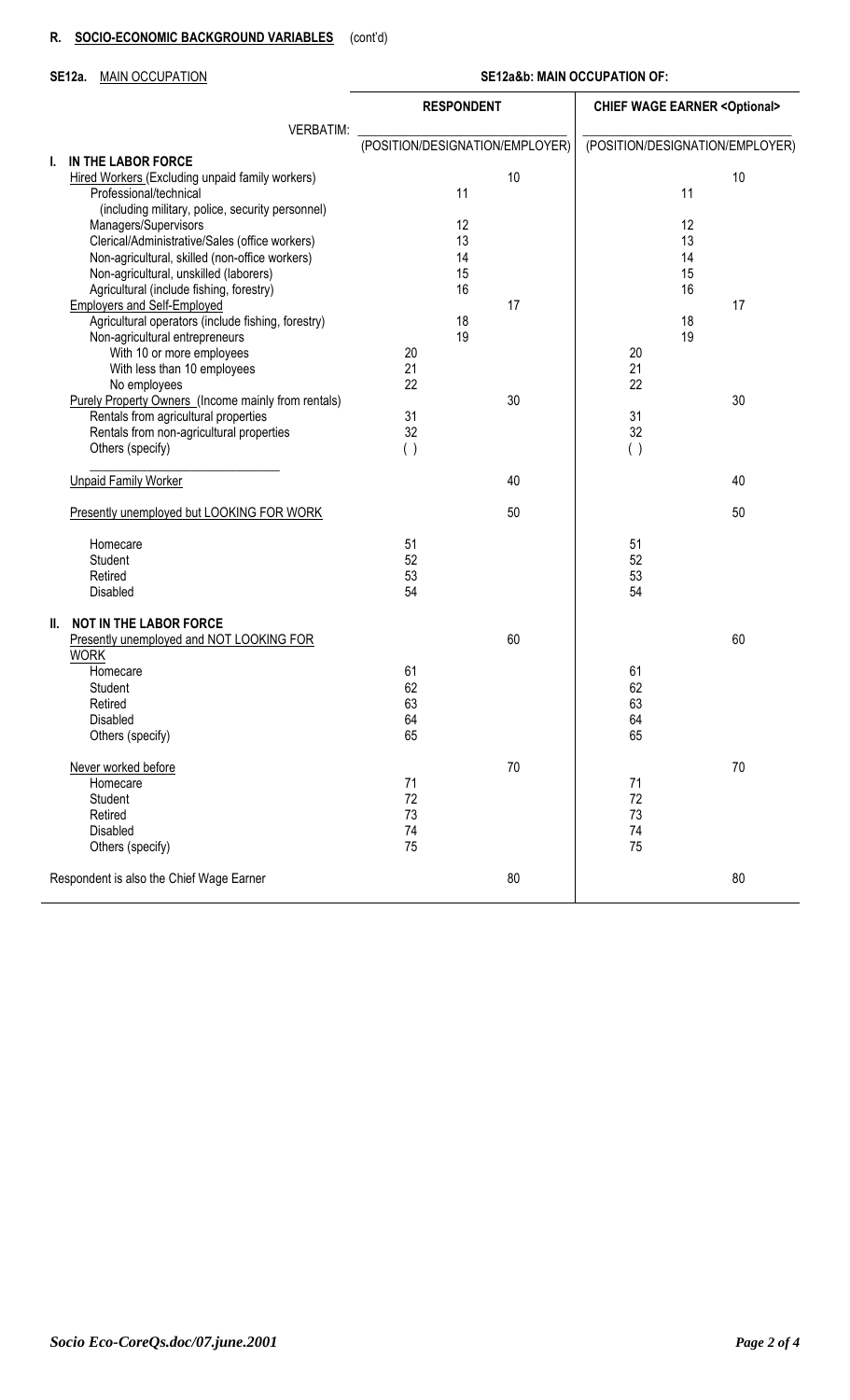# **R. SOCIO-ECONOMIC BACKGROUND VARIABLES** (cont'd)

# **SE12a.** MAIN OCCUPATION **SE12a&b: MAIN OCCUPATION OF:**

|    |                                                                           | <b>RESPONDENT</b>               |    |    | <b>CHIEF WAGE EARNER &lt; Optional&gt;</b> |                                 |    |  |  |
|----|---------------------------------------------------------------------------|---------------------------------|----|----|--------------------------------------------|---------------------------------|----|--|--|
|    | <b>VERBATIM:</b>                                                          | (POSITION/DESIGNATION/EMPLOYER) |    |    |                                            | (POSITION/DESIGNATION/EMPLOYER) |    |  |  |
| L. | IN THE LABOR FORCE                                                        |                                 |    |    |                                            |                                 |    |  |  |
|    | Hired Workers (Excluding unpaid family workers)<br>Professional/technical |                                 | 11 | 10 |                                            | 11                              | 10 |  |  |
|    | (including military, police, security personnel)                          |                                 |    |    |                                            |                                 |    |  |  |
|    | Managers/Supervisors                                                      |                                 | 12 |    |                                            | 12                              |    |  |  |
|    | Clerical/Administrative/Sales (office workers)                            |                                 | 13 |    |                                            | 13                              |    |  |  |
|    | Non-agricultural, skilled (non-office workers)                            |                                 | 14 |    |                                            | 14                              |    |  |  |
|    | Non-agricultural, unskilled (laborers)                                    |                                 | 15 |    |                                            | 15                              |    |  |  |
|    | Agricultural (include fishing, forestry)                                  |                                 | 16 |    |                                            | 16                              |    |  |  |
|    | <b>Employers and Self-Employed</b>                                        |                                 |    | 17 |                                            |                                 | 17 |  |  |
|    | Agricultural operators (include fishing, forestry)                        |                                 | 18 |    |                                            | 18                              |    |  |  |
|    | Non-agricultural entrepreneurs                                            |                                 | 19 |    | 20                                         | 19                              |    |  |  |
|    | With 10 or more employees                                                 | 20<br>21                        |    |    | 21                                         |                                 |    |  |  |
|    | With less than 10 employees<br>No employees                               | 22                              |    |    | 22                                         |                                 |    |  |  |
|    | <b>Purely Property Owners (Income mainly from rentals)</b>                |                                 |    | 30 |                                            |                                 | 30 |  |  |
|    | Rentals from agricultural properties                                      | 31                              |    |    | 31                                         |                                 |    |  |  |
|    | Rentals from non-agricultural properties                                  | 32                              |    |    | 32                                         |                                 |    |  |  |
|    | Others (specify)                                                          | ( )                             |    |    | ( )                                        |                                 |    |  |  |
|    | <b>Unpaid Family Worker</b>                                               |                                 |    | 40 |                                            |                                 | 40 |  |  |
|    | Presently unemployed but LOOKING FOR WORK                                 |                                 |    | 50 |                                            |                                 | 50 |  |  |
|    | Homecare                                                                  | 51                              |    |    | 51                                         |                                 |    |  |  |
|    | Student                                                                   | 52                              |    |    | 52                                         |                                 |    |  |  |
|    | Retired                                                                   | 53                              |    |    | 53                                         |                                 |    |  |  |
|    | Disabled                                                                  | 54                              |    |    | 54                                         |                                 |    |  |  |
|    | II. NOT IN THE LABOR FORCE                                                |                                 |    |    |                                            |                                 |    |  |  |
|    | Presently unemployed and NOT LOOKING FOR<br><b>WORK</b>                   |                                 |    | 60 |                                            |                                 | 60 |  |  |
|    | Homecare                                                                  | 61                              |    |    | 61                                         |                                 |    |  |  |
|    | Student                                                                   | 62                              |    |    | 62                                         |                                 |    |  |  |
|    | Retired                                                                   | 63                              |    |    | 63                                         |                                 |    |  |  |
|    | Disabled                                                                  | 64                              |    |    | 64                                         |                                 |    |  |  |
|    | Others (specify)                                                          | 65                              |    |    | 65                                         |                                 |    |  |  |
|    | Never worked before                                                       |                                 |    | 70 |                                            |                                 | 70 |  |  |
|    | Homecare                                                                  | 71                              |    |    | 71                                         |                                 |    |  |  |
|    | Student                                                                   | 72                              |    |    | 72                                         |                                 |    |  |  |
|    | Retired                                                                   | 73                              |    |    | 73                                         |                                 |    |  |  |
|    | Disabled                                                                  | 74                              |    |    | 74                                         |                                 |    |  |  |
|    | Others (specify)                                                          | 75                              |    |    | 75                                         |                                 |    |  |  |
|    | Respondent is also the Chief Wage Earner                                  |                                 |    | 80 |                                            |                                 | 80 |  |  |
|    |                                                                           |                                 |    |    |                                            |                                 |    |  |  |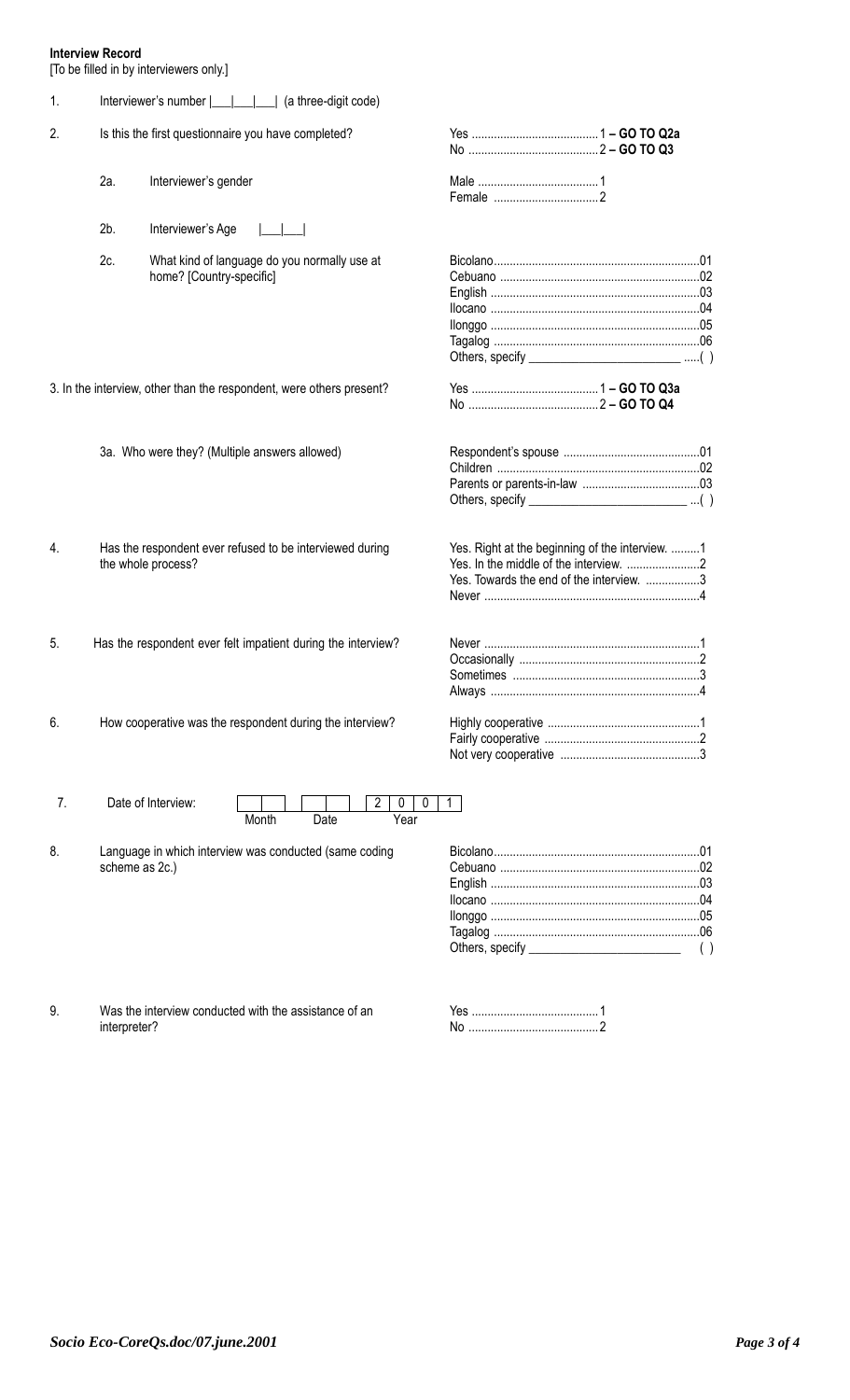# **Interview Record**

[To be filled in by interviewers only.]

| 1. |                |                                                                                |                                                                                             |
|----|----------------|--------------------------------------------------------------------------------|---------------------------------------------------------------------------------------------|
| 2. |                | Is this the first questionnaire you have completed?                            |                                                                                             |
|    | 2a.            | Interviewer's gender                                                           |                                                                                             |
|    | $2b$ .         | Interviewer's Age                                                              |                                                                                             |
|    | 2c.            | What kind of language do you normally use at<br>home? [Country-specific]       |                                                                                             |
|    |                | 3. In the interview, other than the respondent, were others present?           |                                                                                             |
|    |                | 3a. Who were they? (Multiple answers allowed)                                  | Others, specify ______________________________()                                            |
| 4. |                | Has the respondent ever refused to be interviewed during<br>the whole process? | Yes. Right at the beginning of the interview. 1<br>Yes. Towards the end of the interview. 3 |
| 5. |                | Has the respondent ever felt impatient during the interview?                   |                                                                                             |
| 6. |                | How cooperative was the respondent during the interview?                       |                                                                                             |
| 7. |                | Date of Interview:<br>2<br>0<br>0<br>Month<br>Date<br>Year                     | 1.                                                                                          |
| 8. | scheme as 2c.) | Language in which interview was conducted (same coding                         | ( )                                                                                         |

9. Was the interview conducted with the assistance of an interpreter?

| No |  |
|----|--|